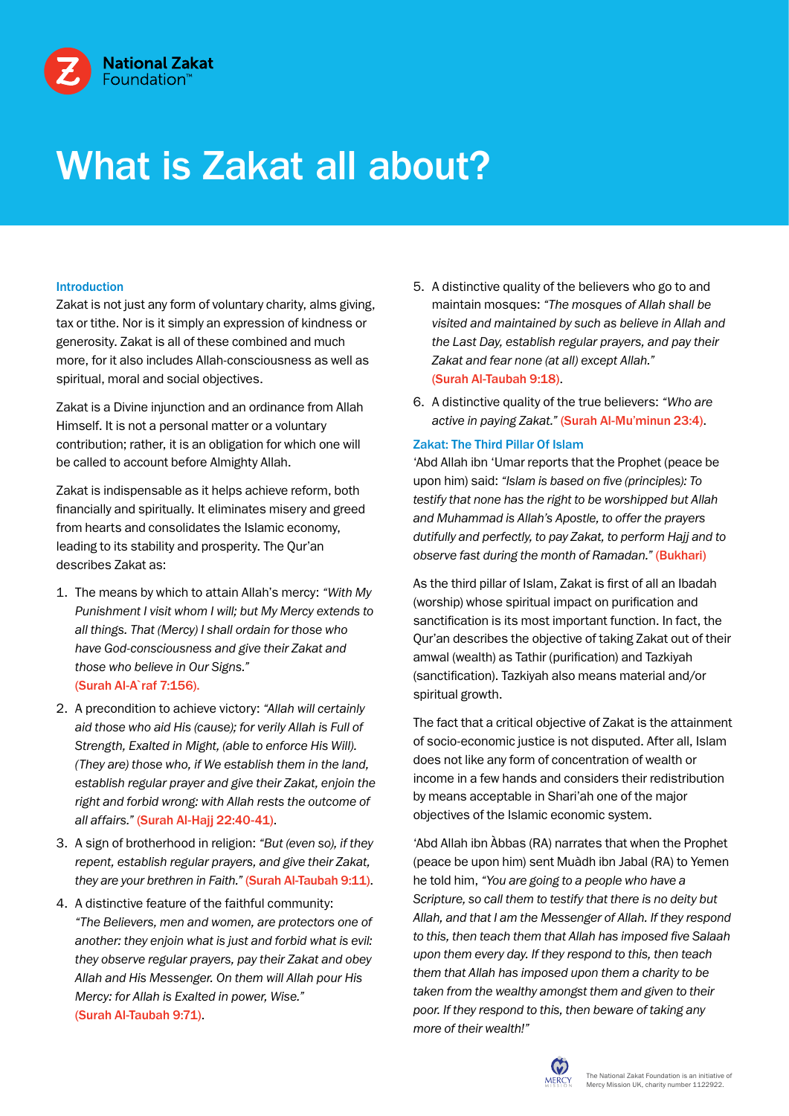

### Introduction

Zakat is not just any form of voluntary charity, alms giving, tax or tithe. Nor is it simply an expression of kindness or generosity. Zakat is all of these combined and much more, for it also includes Allah-consciousness as well as spiritual, moral and social objectives.

Zakat is a Divine injunction and an ordinance from Allah Himself. It is not a personal matter or a voluntary contribution; rather, it is an obligation for which one will be called to account before Almighty Allah.

Zakat is indispensable as it helps achieve reform, both financially and spiritually. It eliminates misery and greed from hearts and consolidates the Islamic economy, leading to its stability and prosperity. The Qur'an describes Zakat as:

- 1. The means by which to attain Allah's mercy: *"With My Punishment I visit whom I will; but My Mercy extends to all things. That (Mercy) I shall ordain for those who have God-consciousness and give their Zakat and those who believe in Our Signs."*  (Surah Al-A`raf 7:156).
- 2. A precondition to achieve victory: *"Allah will certainly aid those who aid His (cause); for verily Allah is Full of Strength, Exalted in Might, (able to enforce His Will). (They are) those who, if We establish them in the land, establish regular prayer and give their Zakat, enjoin the right and forbid wrong: with Allah rests the outcome of all affairs."* (Surah Al-Hajj 22:40-41).
- 3. A sign of brotherhood in religion: *"But (even so), if they repent, establish regular prayers, and give their Zakat, they are your brethren in Faith."* (Surah Al-Taubah 9:11).
- 4. A distinctive feature of the faithful community: *"The Believers, men and women, are protectors one of another: they enjoin what is just and forbid what is evil: they observe regular prayers, pay their Zakat and obey Allah and His Messenger. On them will Allah pour His Mercy: for Allah is Exalted in power, Wise."* (Surah Al-Taubah 9:71).
- 5. A distinctive quality of the believers who go to and maintain mosques: *"The mosques of Allah shall be visited and maintained by such as believe in Allah and the Last Day, establish regular prayers, and pay their Zakat and fear none (at all) except Allah."* (Surah Al-Taubah 9:18).
- 6. A distinctive quality of the true believers: *"Who are active in paying Zakat."* (Surah Al-Mu'minun 23:4).

### Zakat: The Third Pillar Of Islam

'Abd Allah ibn 'Umar reports that the Prophet (peace be upon him) said: *"Islam is based on five (principles): To testify that none has the right to be worshipped but Allah and Muhammad is Allah's Apostle, to offer the prayers dutifully and perfectly, to pay Zakat, to perform Hajj and to observe fast during the month of Ramadan."* (Bukhari)

As the third pillar of Islam, Zakat is first of all an Ibadah (worship) whose spiritual impact on purification and sanctification is its most important function. In fact, the Qur'an describes the objective of taking Zakat out of their amwal (wealth) as Tathir (purification) and Tazkiyah (sanctification). Tazkiyah also means material and/or spiritual growth.

The fact that a critical objective of Zakat is the attainment of socio-economic justice is not disputed. After all, Islam does not like any form of concentration of wealth or income in a few hands and considers their redistribution by means acceptable in Shari'ah one of the major objectives of the Islamic economic system.

'Abd Allah ibn Àbbas (RA) narrates that when the Prophet (peace be upon him) sent Muàdh ibn Jabal (RA) to Yemen he told him, *"You are going to a people who have a Scripture, so call them to testify that there is no deity but Allah, and that I am the Messenger of Allah. If they respond to this, then teach them that Allah has imposed five Salaah upon them every day. If they respond to this, then teach them that Allah has imposed upon them a charity to be taken from the wealthy amongst them and given to their poor. If they respond to this, then beware of taking any more of their wealth!"*

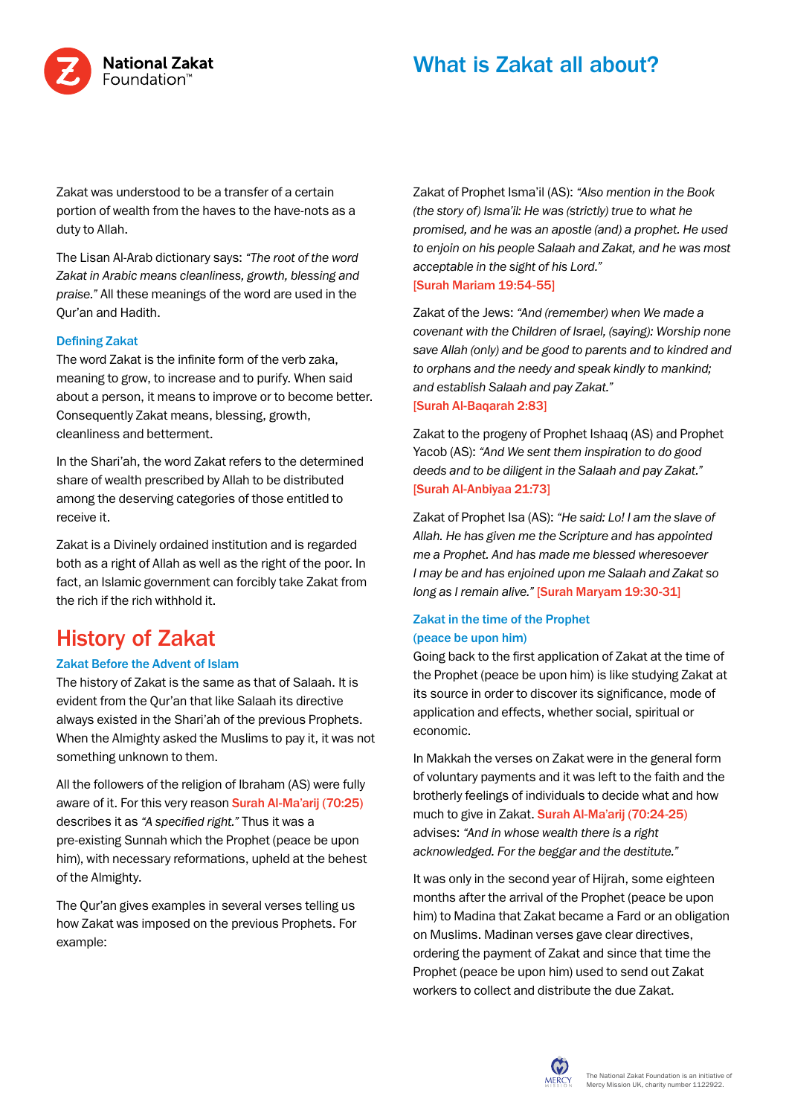

Zakat was understood to be a transfer of a certain portion of wealth from the haves to the have-nots as a duty to Allah.

The Lisan Al-Arab dictionary says: *"The root of the word Zakat in Arabic means cleanliness, growth, blessing and praise."* All these meanings of the word are used in the Qur'an and Hadith.

#### Defining Zakat

The word Zakat is the infinite form of the verb zaka, meaning to grow, to increase and to purify. When said about a person, it means to improve or to become better. Consequently Zakat means, blessing, growth, cleanliness and betterment.

In the Shari'ah, the word Zakat refers to the determined share of wealth prescribed by Allah to be distributed among the deserving categories of those entitled to receive it.

Zakat is a Divinely ordained institution and is regarded both as a right of Allah as well as the right of the poor. In fact, an Islamic government can forcibly take Zakat from the rich if the rich withhold it.

### History of Zakat

### Zakat Before the Advent of Islam

The history of Zakat is the same as that of Salaah. It is evident from the Qur'an that like Salaah its directive always existed in the Shari'ah of the previous Prophets. When the Almighty asked the Muslims to pay it, it was not something unknown to them.

All the followers of the religion of Ibraham (AS) were fully aware of it. For this very reason Surah Al-Ma'arij (70:25) describes it as *"A specified right."* Thus it was a pre-existing Sunnah which the Prophet (peace be upon him), with necessary reformations, upheld at the behest of the Almighty.

The Qur'an gives examples in several verses telling us how Zakat was imposed on the previous Prophets. For example:

Zakat of Prophet Isma'il (AS): *"Also mention in the Book (the story of) Isma'il: He was (strictly) true to what he promised, and he was an apostle (and) a prophet. He used to enjoin on his people Salaah and Zakat, and he was most acceptable in the sight of his Lord."*

### [Surah Mariam 19:54-55]

Zakat of the Jews: *"And (remember) when We made a covenant with the Children of Israel, (saying): Worship none save Allah (only) and be good to parents and to kindred and to orphans and the needy and speak kindly to mankind; and establish Salaah and pay Zakat."*

### [Surah Al-Baqarah 2:83]

Zakat to the progeny of Prophet Ishaaq (AS) and Prophet Yacob (AS): *"And We sent them inspiration to do good deeds and to be diligent in the Salaah and pay Zakat."* [Surah Al-Anbiyaa 21:73]

Zakat of Prophet Isa (AS): *"He said: Lo! I am the slave of Allah. He has given me the Scripture and has appointed me a Prophet. And has made me blessed wheresoever I may be and has enjoined upon me Salaah and Zakat so long as I remain alive."* [Surah Maryam 19:30-31]

### Zakat in the time of the Prophet (peace be upon him)

Going back to the first application of Zakat at the time of the Prophet (peace be upon him) is like studying Zakat at its source in order to discover its significance, mode of application and effects, whether social, spiritual or economic.

In Makkah the verses on Zakat were in the general form of voluntary payments and it was left to the faith and the brotherly feelings of individuals to decide what and how much to give in Zakat. Surah Al-Ma'arij (70:24-25) advises: *"And in whose wealth there is a right acknowledged. For the beggar and the destitute."*

It was only in the second year of Hijrah, some eighteen months after the arrival of the Prophet (peace be upon him) to Madina that Zakat became a Fard or an obligation on Muslims. Madinan verses gave clear directives, ordering the payment of Zakat and since that time the Prophet (peace be upon him) used to send out Zakat workers to collect and distribute the due Zakat.

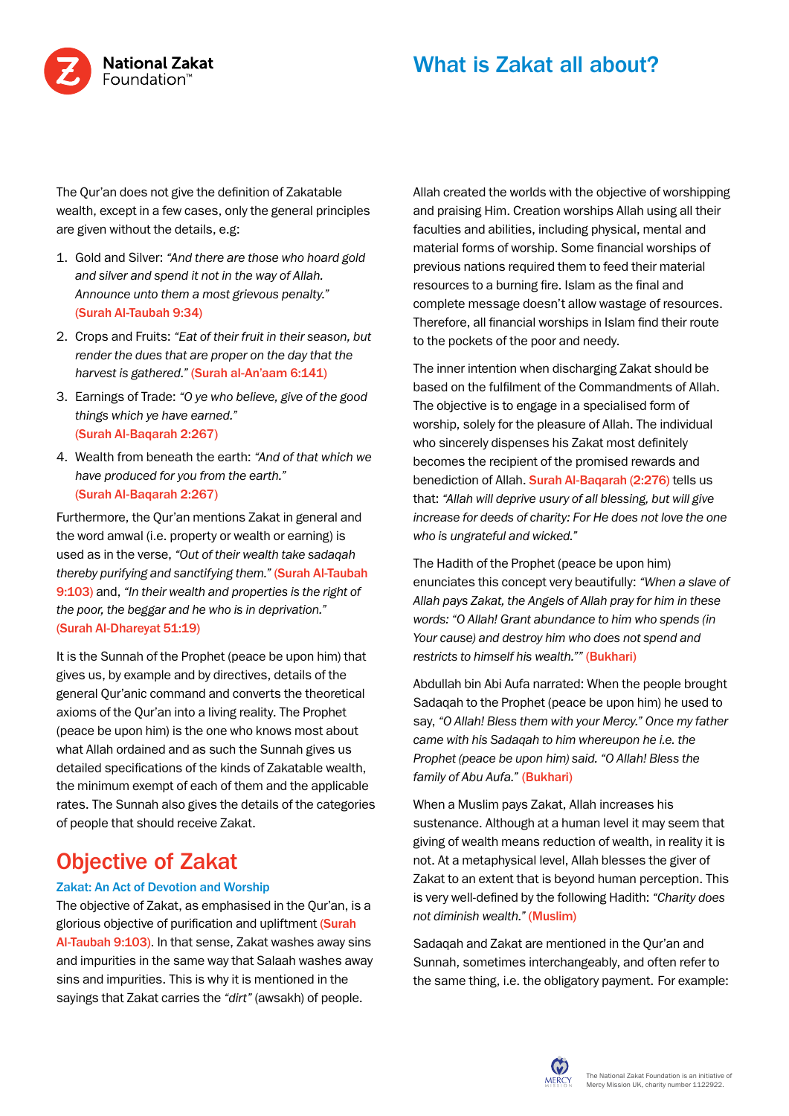

The Qur'an does not give the definition of Zakatable wealth, except in a few cases, only the general principles are given without the details, e.g:

- 1. Gold and Silver: *"And there are those who hoard gold and silver and spend it not in the way of Allah. Announce unto them a most grievous penalty."*  (Surah Al-Taubah 9:34)
- 2. Crops and Fruits: *"Eat of their fruit in their season, but render the dues that are proper on the day that the harvest is gathered."* (Surah al-An'aam 6:141)
- 3. Earnings of Trade: *"O ye who believe, give of the good things which ye have earned."* (Surah Al-Baqarah 2:267)
- 4. Wealth from beneath the earth: *"And of that which we have produced for you from the earth."* (Surah Al-Baqarah 2:267)

Furthermore, the Qur'an mentions Zakat in general and the word amwal (i.e. property or wealth or earning) is used as in the verse, *"Out of their wealth take sadaqah thereby purifying and sanctifying them."* (Surah Al-Taubah 9:103) and, *"In their wealth and properties is the right of the poor, the beggar and he who is in deprivation."* (Surah Al-Dhareyat 51:19)

It is the Sunnah of the Prophet (peace be upon him) that gives us, by example and by directives, details of the general Qur'anic command and converts the theoretical axioms of the Qur'an into a living reality. The Prophet (peace be upon him) is the one who knows most about what Allah ordained and as such the Sunnah gives us detailed specifications of the kinds of Zakatable wealth, the minimum exempt of each of them and the applicable rates. The Sunnah also gives the details of the categories of people that should receive Zakat.

# Objective of Zakat

### Zakat: An Act of Devotion and Worship

The objective of Zakat, as emphasised in the Qur'an, is a glorious objective of purification and upliftment (Surah Al-Taubah 9:103). In that sense, Zakat washes away sins and impurities in the same way that Salaah washes away sins and impurities. This is why it is mentioned in the sayings that Zakat carries the *"dirt"* (awsakh) of people.

Allah created the worlds with the objective of worshipping and praising Him. Creation worships Allah using all their faculties and abilities, including physical, mental and material forms of worship. Some financial worships of previous nations required them to feed their material resources to a burning fire. Islam as the final and complete message doesn't allow wastage of resources. Therefore, all financial worships in Islam find their route to the pockets of the poor and needy.

The inner intention when discharging Zakat should be based on the fulfilment of the Commandments of Allah. The objective is to engage in a specialised form of worship, solely for the pleasure of Allah. The individual who sincerely dispenses his Zakat most definitely becomes the recipient of the promised rewards and benediction of Allah. Surah Al-Baqarah (2:276) tells us that: *"Allah will deprive usury of all blessing, but will give increase for deeds of charity: For He does not love the one who is ungrateful and wicked."*

The Hadith of the Prophet (peace be upon him) enunciates this concept very beautifully: *"When a slave of Allah pays Zakat, the Angels of Allah pray for him in these words: "O Allah! Grant abundance to him who spends (in Your cause) and destroy him who does not spend and restricts to himself his wealth.""* (Bukhari)

Abdullah bin Abi Aufa narrated: When the people brought Sadaqah to the Prophet (peace be upon him) he used to say, *"O Allah! Bless them with your Mercy." Once my father came with his Sadaqah to him whereupon he i.e. the Prophet (peace be upon him) said. "O Allah! Bless the family of Abu Aufa."* (Bukhari)

When a Muslim pays Zakat, Allah increases his sustenance. Although at a human level it may seem that giving of wealth means reduction of wealth, in reality it is not. At a metaphysical level, Allah blesses the giver of Zakat to an extent that is beyond human perception. This is very well-defined by the following Hadith: *"Charity does not diminish wealth."* (Muslim)

Sadaqah and Zakat are mentioned in the Qur'an and Sunnah, sometimes interchangeably, and often refer to the same thing, i.e. the obligatory payment. For example:

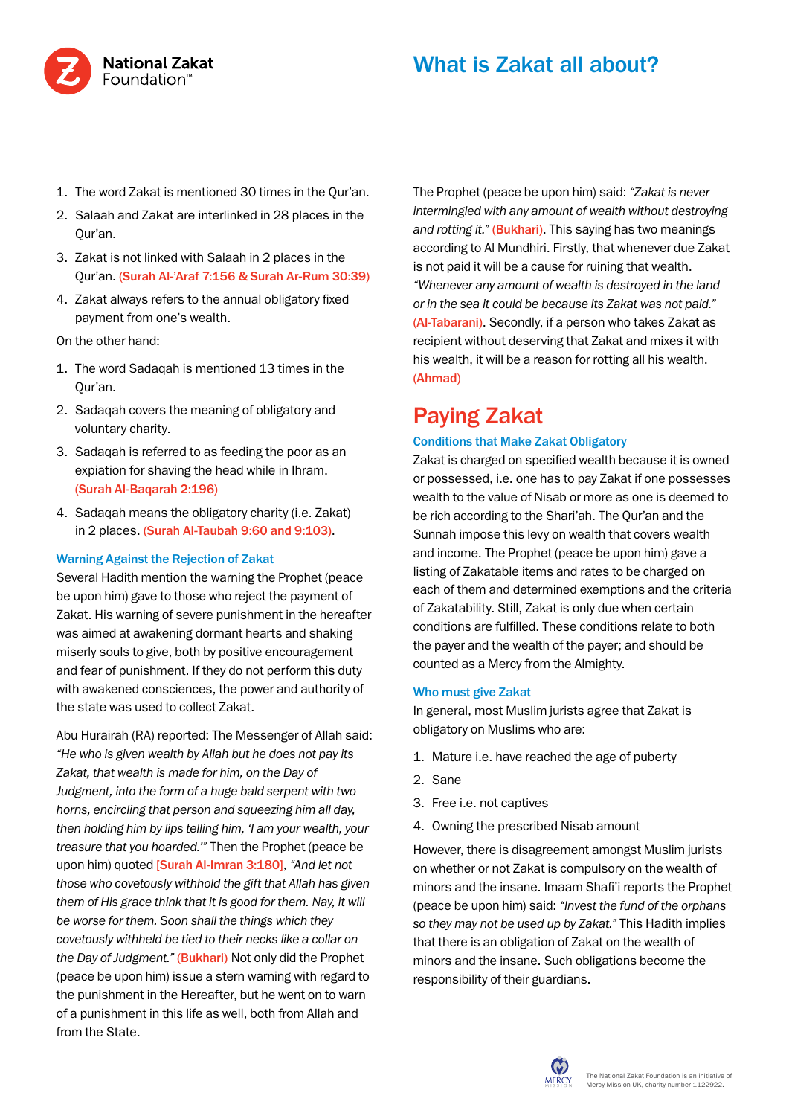

- 1. The word Zakat is mentioned 30 times in the Qur'an.
- 2. Salaah and Zakat are interlinked in 28 places in the Qur'an.
- 3. Zakat is not linked with Salaah in 2 places in the Qur'an. (Surah Al-'Araf 7:156 & Surah Ar-Rum 30:39)
- 4. Zakat always refers to the annual obligatory fixed payment from one's wealth.

On the other hand:

- 1. The word Sadaqah is mentioned 13 times in the Qur'an.
- 2. Sadaqah covers the meaning of obligatory and voluntary charity.
- 3. Sadaqah is referred to as feeding the poor as an expiation for shaving the head while in Ihram. (Surah Al-Baqarah 2:196)
- 4. Sadaqah means the obligatory charity (i.e. Zakat) in 2 places. (Surah Al-Taubah 9:60 and 9:103).

### Warning Against the Rejection of Zakat

Several Hadith mention the warning the Prophet (peace be upon him) gave to those who reject the payment of Zakat. His warning of severe punishment in the hereafter was aimed at awakening dormant hearts and shaking miserly souls to give, both by positive encouragement and fear of punishment. If they do not perform this duty with awakened consciences, the power and authority of the state was used to collect Zakat.

Abu Hurairah (RA) reported: The Messenger of Allah said: *"He who is given wealth by Allah but he does not pay its Zakat, that wealth is made for him, on the Day of Judgment, into the form of a huge bald serpent with two horns, encircling that person and squeezing him all day, then holding him by lips telling him, 'I am your wealth, your treasure that you hoarded.'"* Then the Prophet (peace be upon him) quoted [Surah Al-Imran 3:180], *"And let not those who covetously withhold the gift that Allah has given them of His grace think that it is good for them. Nay, it will be worse for them. Soon shall the things which they covetously withheld be tied to their necks like a collar on the Day of Judgment."* (Bukhari) Not only did the Prophet (peace be upon him) issue a stern warning with regard to the punishment in the Hereafter, but he went on to warn of a punishment in this life as well, both from Allah and from the State.

The Prophet (peace be upon him) said: *"Zakat is never intermingled with any amount of wealth without destroying and rotting it."* (Bukhari). This saying has two meanings according to Al Mundhiri. Firstly, that whenever due Zakat is not paid it will be a cause for ruining that wealth. *"Whenever any amount of wealth is destroyed in the land or in the sea it could be because its Zakat was not paid."*  (Al-Tabarani). Secondly, if a person who takes Zakat as recipient without deserving that Zakat and mixes it with his wealth, it will be a reason for rotting all his wealth. (Ahmad)

### Paying Zakat

### Conditions that Make Zakat Obligatory

Zakat is charged on specified wealth because it is owned or possessed, i.e. one has to pay Zakat if one possesses wealth to the value of Nisab or more as one is deemed to be rich according to the Shari'ah. The Qur'an and the Sunnah impose this levy on wealth that covers wealth and income. The Prophet (peace be upon him) gave a listing of Zakatable items and rates to be charged on each of them and determined exemptions and the criteria of Zakatability. Still, Zakat is only due when certain conditions are fulfilled. These conditions relate to both the payer and the wealth of the payer; and should be counted as a Mercy from the Almighty.

### Who must give Zakat

In general, most Muslim jurists agree that Zakat is obligatory on Muslims who are:

- 1. Mature i.e. have reached the age of puberty
- 2. Sane
- 3. Free i.e. not captives
- 4. Owning the prescribed Nisab amount

However, there is disagreement amongst Muslim jurists on whether or not Zakat is compulsory on the wealth of minors and the insane. Imaam Shafi'i reports the Prophet (peace be upon him) said: *"Invest the fund of the orphans so they may not be used up by Zakat."* This Hadith implies that there is an obligation of Zakat on the wealth of minors and the insane. Such obligations become the responsibility of their guardians.

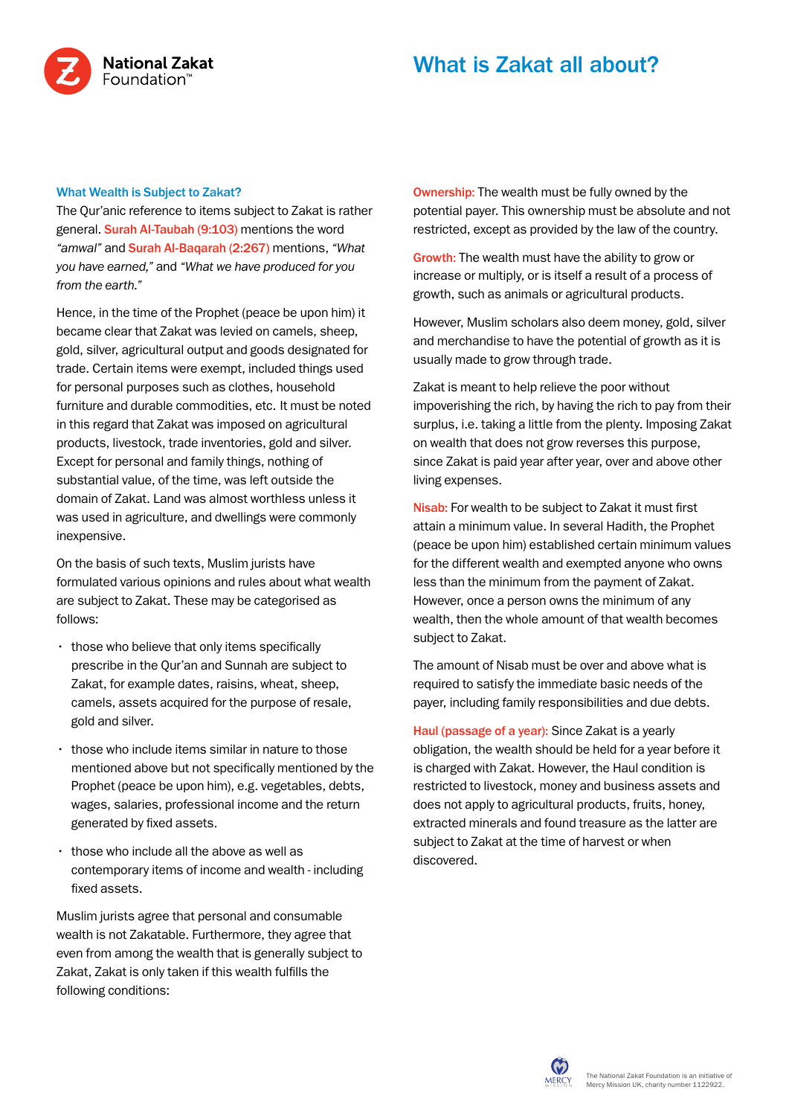

#### What Wealth is Subject to Zakat?

The Qur'anic reference to items subject to Zakat is rather general. Surah Al-Taubah (9:103) mentions the word *"amwal"* and Surah Al-Baqarah (2:267) mentions, *"What you have earned,"* and *"What we have produced for you from the earth."*

Hence, in the time of the Prophet (peace be upon him) it became clear that Zakat was levied on camels, sheep, gold, silver, agricultural output and goods designated for trade. Certain items were exempt, included things used for personal purposes such as clothes, household furniture and durable commodities, etc. It must be noted in this regard that Zakat was imposed on agricultural products, livestock, trade inventories, gold and silver. Except for personal and family things, nothing of substantial value, of the time, was left outside the domain of Zakat. Land was almost worthless unless it was used in agriculture, and dwellings were commonly inexpensive.

On the basis of such texts, Muslim jurists have formulated various opinions and rules about what wealth are subject to Zakat. These may be categorised as follows:

- those who believe that only items specifically prescribe in the Qur'an and Sunnah are subject to Zakat, for example dates, raisins, wheat, sheep, camels, assets acquired for the purpose of resale, gold and silver.
- $\cdot$  those who include items similar in nature to those mentioned above but not specifically mentioned by the Prophet (peace be upon him), e.g. vegetables, debts, wages, salaries, professional income and the return generated by fixed assets.
- $\cdot$  those who include all the above as well as contemporary items of income and wealth - including fixed assets.

Muslim jurists agree that personal and consumable wealth is not Zakatable. Furthermore, they agree that even from among the wealth that is generally subject to Zakat, Zakat is only taken if this wealth fulfills the following conditions:

Ownership: The wealth must be fully owned by the potential payer. This ownership must be absolute and not restricted, except as provided by the law of the country.

Growth: The wealth must have the ability to grow or increase or multiply, or is itself a result of a process of growth, such as animals or agricultural products.

However, Muslim scholars also deem money, gold, silver and merchandise to have the potential of growth as it is usually made to grow through trade.

Zakat is meant to help relieve the poor without impoverishing the rich, by having the rich to pay from their surplus, i.e. taking a little from the plenty. Imposing Zakat on wealth that does not grow reverses this purpose, since Zakat is paid year after year, over and above other living expenses.

Nisab: For wealth to be subject to Zakat it must first attain a minimum value. In several Hadith, the Prophet (peace be upon him) established certain minimum values for the different wealth and exempted anyone who owns less than the minimum from the payment of Zakat. However, once a person owns the minimum of any wealth, then the whole amount of that wealth becomes subject to Zakat.

The amount of Nisab must be over and above what is required to satisfy the immediate basic needs of the payer, including family responsibilities and due debts.

Haul (passage of a year): Since Zakat is a yearly obligation, the wealth should be held for a year before it is charged with Zakat. However, the Haul condition is restricted to livestock, money and business assets and does not apply to agricultural products, fruits, honey, extracted minerals and found treasure as the latter are subject to Zakat at the time of harvest or when discovered.

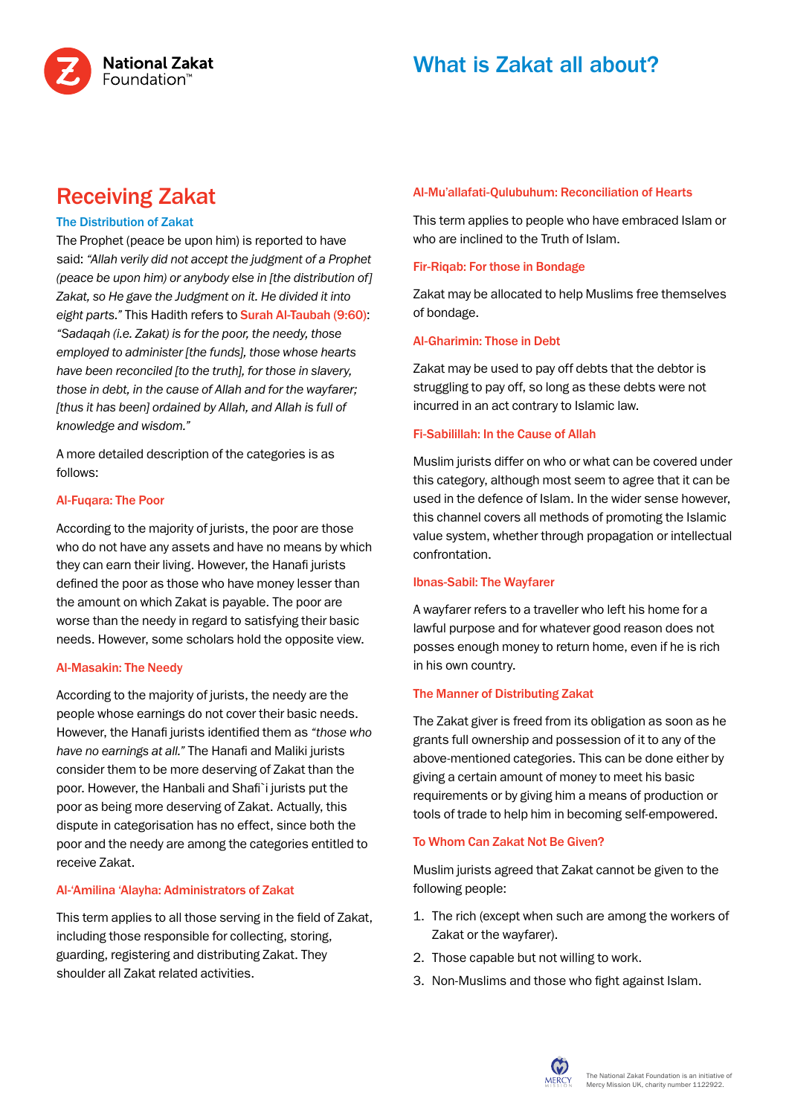

# Receiving Zakat

### The Distribution of Zakat

The Prophet (peace be upon him) is reported to have said: *"Allah verily did not accept the judgment of a Prophet (peace be upon him) or anybody else in [the distribution of] Zakat, so He gave the Judgment on it. He divided it into eight parts."* This Hadith refers to Surah Al-Taubah (9:60): *"Sadaqah (i.e. Zakat) is for the poor, the needy, those employed to administer [the funds], those whose hearts have been reconciled [to the truth], for those in slavery, those in debt, in the cause of Allah and for the wayfarer; [thus it has been] ordained by Allah, and Allah is full of knowledge and wisdom."*

A more detailed description of the categories is as follows:

### Al-Fuqara: The Poor

According to the majority of jurists, the poor are those who do not have any assets and have no means by which they can earn their living. However, the Hanafi jurists defined the poor as those who have money lesser than the amount on which Zakat is payable. The poor are worse than the needy in regard to satisfying their basic needs. However, some scholars hold the opposite view.

### Al-Masakin: The Needy

According to the majority of jurists, the needy are the people whose earnings do not cover their basic needs. However, the Hanafi jurists identified them as *"those who have no earnings at all."* The Hanafi and Maliki jurists consider them to be more deserving of Zakat than the poor. However, the Hanbali and Shafi`i jurists put the poor as being more deserving of Zakat. Actually, this dispute in categorisation has no effect, since both the poor and the needy are among the categories entitled to receive Zakat.

### Al-'Amilina 'Alayha: Administrators of Zakat

This term applies to all those serving in the field of Zakat, including those responsible for collecting, storing, guarding, registering and distributing Zakat. They shoulder all Zakat related activities.

### Al-Mu'allafati-Qulubuhum: Reconciliation of Hearts

This term applies to people who have embraced Islam or who are inclined to the Truth of Islam.

### Fir-Riqab: For those in Bondage

Zakat may be allocated to help Muslims free themselves of bondage.

### Al-Gharimin: Those in Debt

Zakat may be used to pay off debts that the debtor is struggling to pay off, so long as these debts were not incurred in an act contrary to Islamic law.

### Fi-Sabilillah: In the Cause of Allah

Muslim jurists differ on who or what can be covered under this category, although most seem to agree that it can be used in the defence of Islam. In the wider sense however, this channel covers all methods of promoting the Islamic value system, whether through propagation or intellectual confrontation.

### Ibnas-Sabil: The Wayfarer

A wayfarer refers to a traveller who left his home for a lawful purpose and for whatever good reason does not posses enough money to return home, even if he is rich in his own country.

### The Manner of Distributing Zakat

The Zakat giver is freed from its obligation as soon as he grants full ownership and possession of it to any of the above-mentioned categories. This can be done either by giving a certain amount of money to meet his basic requirements or by giving him a means of production or tools of trade to help him in becoming self-empowered.

### To Whom Can Zakat Not Be Given?

Muslim jurists agreed that Zakat cannot be given to the following people:

- 1. The rich (except when such are among the workers of Zakat or the wayfarer).
- 2. Those capable but not willing to work.
- 3. Non-Muslims and those who fight against Islam.